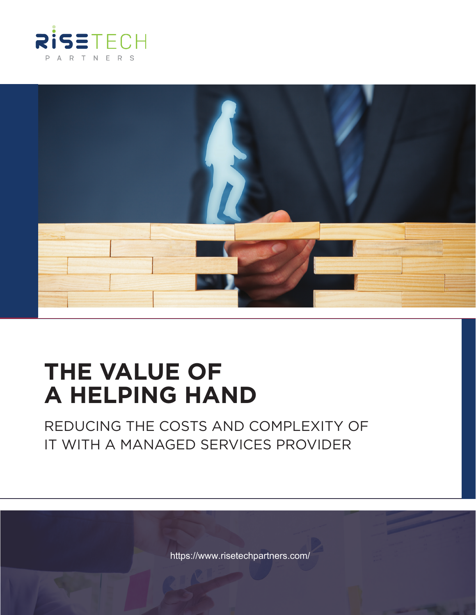



# **THE VALUE OF A HELPING HAND**

REDUCING THE COSTS AND COMPLEXITY OF IT WITH A MANAGED SERVICES PROVIDER

<https://www.risetechpartners.com/>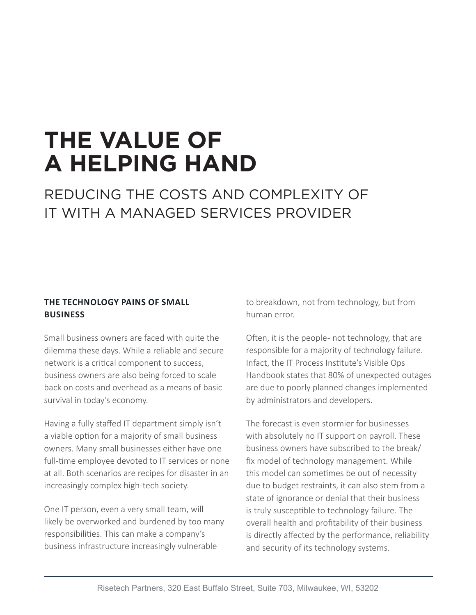# **THE VALUE OF A HELPING HAND**

### REDUCING THE COSTS AND COMPLEXITY OF IT WITH A MANAGED SERVICES PROVIDER

### **THE TECHNOLOGY PAINS OF SMALL BUSINESS**

Small business owners are faced with quite the dilemma these days. While a reliable and secure network is a critical component to success, business owners are also being forced to scale back on costs and overhead as a means of basic survival in today's economy.

Having a fully staffed IT department simply isn't a viable option for a majority of small business owners. Many small businesses either have one full-time employee devoted to IT services or none at all. Both scenarios are recipes for disaster in an increasingly complex high-tech society.

One IT person, even a very small team, will likely be overworked and burdened by too many responsibilities. This can make a company's business infrastructure increasingly vulnerable

to breakdown, not from technology, but from human error.

Often, it is the people - not technology, that are responsible for a majority of technology failure. Infact, the IT Process Institute's Visible Ops Handbook states that 80% of unexpected outages are due to poorly planned changes implemented by administrators and developers.

The forecast is even stormier for businesses with absolutely no IT support on payroll. These business owners have subscribed to the break/ fix model of technology management. While this model can sometimes be out of necessity due to budget restraints, it can also stem from a state of ignorance or denial that their business is truly susceptible to technology failure. The overall health and profitability of their business is directly affected by the performance, reliability and security of its technology systems.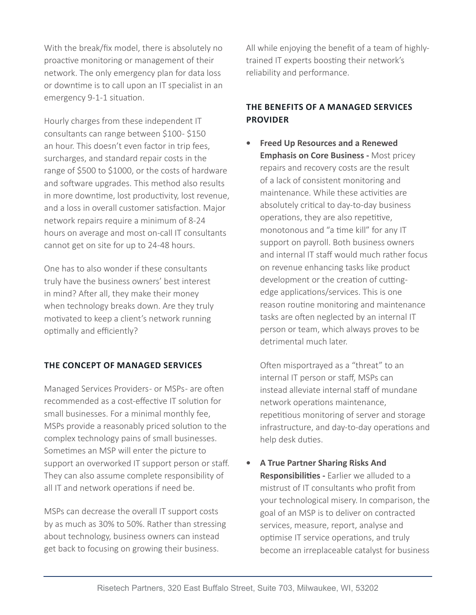With the break/fix model, there is absolutely no proactive monitoring or management of their network. The only emergency plan for data loss or downtime is to call upon an IT specialist in an emergency 9-1-1 situation.

Hourly charges from these independent IT consultants can range between \$100 - \$150 an hour. This doesn't even factor in trip fees, surcharges, and standard repair costs in the range of \$500 to \$1000, or the costs of hardware and software upgrades. This method also results in more downtime, lost productivity, lost revenue, and a loss in overall customer satisfaction. Major network repairs require a minimum of 8-24 hours on average and most on-call IT consultants cannot get on site for up to 24-48 hours.

One has to also wonder if these consultants truly have the business owners' best interest in mind? After all, they make their money when technology breaks down. Are they truly motivated to keep a client's network running optimally and efficiently?

#### **THE CONCEPT OF MANAGED SERVICES**

Managed Services Providers- or MSPs- are often recommended as a cost-effective IT solution for small businesses. For a minimal monthly fee, MSPs provide a reasonably priced solution to the complex technology pains of small businesses. Sometimes an MSP will enter the picture to support an overworked IT support person or staff. They can also assume complete responsibility of all IT and network operations if need be.

MSPs can decrease the overall IT support costs by as much as 30% to 50%. Rather than stressing about technology, business owners can instead get back to focusing on growing their business.

All while enjoying the benefit of a team of highlytrained IT experts boosting their network's reliability and performance.

### **THE BENEFITS OF A MANAGED SERVICES PROVIDER**

**• Freed Up Resources and a Renewed Emphasis on Core Business -** Most pricey repairs and recovery costs are the result of a lack of consistent monitoring and maintenance. While these activities are absolutely critical to day-to-day business operations, they are also repetitive, monotonous and "a time kill" for any IT support on payroll. Both business owners and internal IT staff would much rather focus on revenue enhancing tasks like product development or the creation of cuttingedge applications/services. This is one reason routine monitoring and maintenance tasks are often neglected by an internal IT person or team, which always proves to be detrimental much later.

Often misportrayed as a "threat" to an internal IT person or staff, MSPs can instead alleviate internal staff of mundane network operations maintenance, repetitious monitoring of server and storage infrastructure, and day-to-day operations and help desk duties.

**• A True Partner Sharing Risks And Responsibilities -** Earlier we alluded to a mistrust of IT consultants who profit from your technological misery. In comparison, the goal of an MSP is to deliver on contracted services, measure, report, analyse and optimise IT service operations, and truly become an irreplaceable catalyst for business